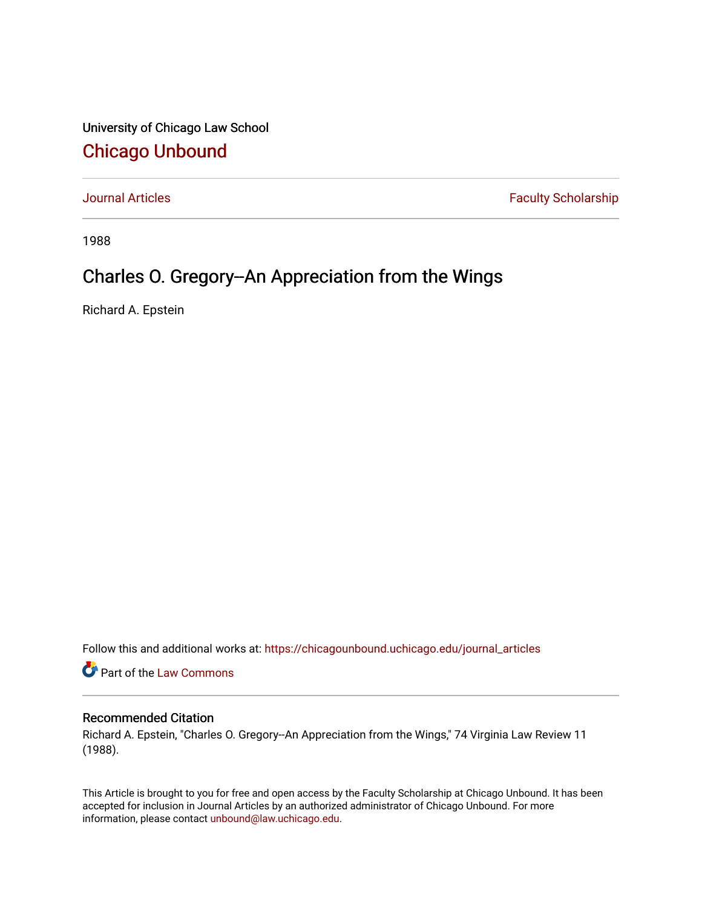University of Chicago Law School [Chicago Unbound](https://chicagounbound.uchicago.edu/)

[Journal Articles](https://chicagounbound.uchicago.edu/journal_articles) **Faculty Scholarship Faculty Scholarship** 

1988

## Charles O. Gregory--An Appreciation from the Wings

Richard A. Epstein

Follow this and additional works at: [https://chicagounbound.uchicago.edu/journal\\_articles](https://chicagounbound.uchicago.edu/journal_articles?utm_source=chicagounbound.uchicago.edu%2Fjournal_articles%2F1320&utm_medium=PDF&utm_campaign=PDFCoverPages) 

Part of the [Law Commons](http://network.bepress.com/hgg/discipline/578?utm_source=chicagounbound.uchicago.edu%2Fjournal_articles%2F1320&utm_medium=PDF&utm_campaign=PDFCoverPages)

## Recommended Citation

Richard A. Epstein, "Charles O. Gregory--An Appreciation from the Wings," 74 Virginia Law Review 11 (1988).

This Article is brought to you for free and open access by the Faculty Scholarship at Chicago Unbound. It has been accepted for inclusion in Journal Articles by an authorized administrator of Chicago Unbound. For more information, please contact [unbound@law.uchicago.edu](mailto:unbound@law.uchicago.edu).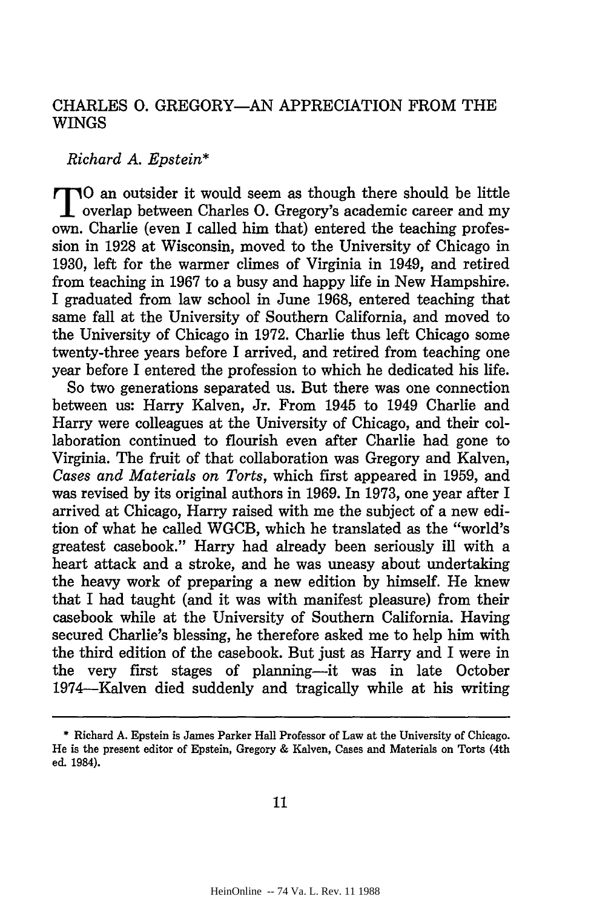## CHARLES **0.** GREGORY-AN APPRECIATION FROM THE WINGS

## *Richard A. Epstein\**

**TTO** an outsider it would seem as though there should be little overlap between Charles **0.** Gregory's academic career and my own. Charlie (even I called him that) entered the teaching profession in 1928 at Wisconsin, moved to the University of Chicago in 1930, left for the warmer climes of Virginia in 1949, and retired from teaching in 1967 to a busy and happy life in New Hampshire. I graduated from law school in June 1968, entered teaching that same fall at the University of Southern California, and moved to the University of Chicago in 1972. Charlie thus left Chicago some twenty-three years before I arrived, and retired from teaching one year before I entered the profession to which he dedicated his life.

So two generations separated us. But there was one connection between us: Harry Kalven, Jr. From 1945 to 1949 Charlie and Harry were colleagues at the University of Chicago, and their collaboration continued to flourish even after Charlie had gone to Virginia. The fruit of that collaboration was Gregory and Kalven, *Cases and Materials on Torts,* which first appeared in 1959, and was revised by its original authors in 1969. In 1973, one year after I arrived at Chicago, Harry raised with me the subject of a new edition of what he called WGCB, which he translated as the "world's greatest casebook." Harry had already been seriously ill with a heart attack and a stroke, and he was uneasy about undertaking the heavy work of preparing a new edition by himself. He knew that I had taught (and it was with manifest pleasure) from their casebook while at the University of Southern California. Having secured Charlie's blessing, he therefore asked me to help him with the third edition of the casebook. But just as Harry and I were in the very first stages of planning-it was in late October 1974-Kalven died suddenly and tragically while at his writing

**<sup>\*</sup>** Richard A. Epstein is James Parker Hall Professor of Law at the University of Chicago. He is the present editor of Epstein, Gregory & Kalven, Cases and Materials on Torts (4th ed. 1984).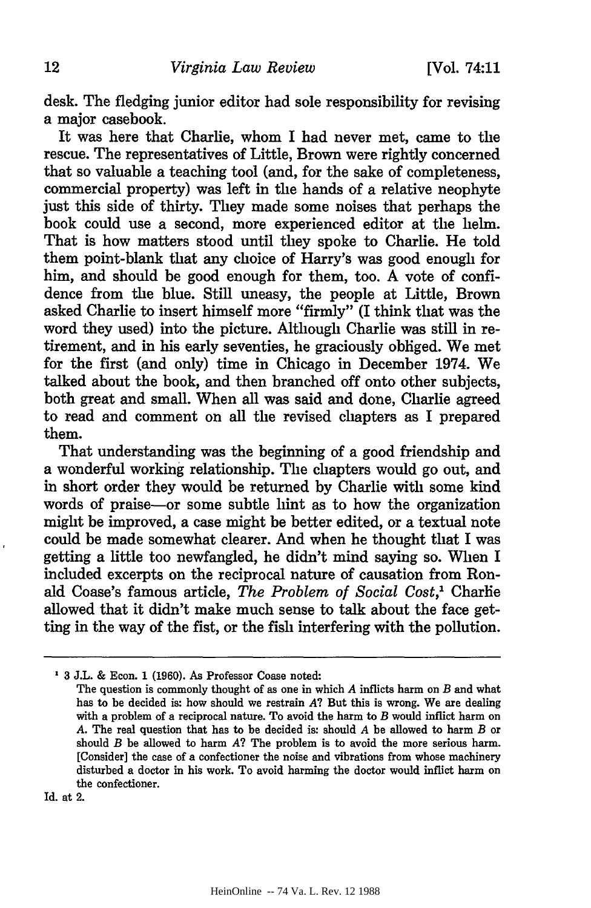desk. The fledging junior editor had sole responsibility for revising a major casebook.

It was here that Charlie, whom I had never met, came to the rescue. The representatives of Little, Brown were rightly concerned that so valuable a teaching tool (and, for the sake of completeness, commercial property) was left in the hands of a relative neophyte just this side of thirty. They made some noises that perhaps the book could use a second, more experienced editor at the helm. That is how matters stood until they spoke to Charlie. He told them point-blank that any choice of Harry's was good enough for him, and should be good enough for them, too. A vote of confidence from the blue. Still uneasy, the people at Little, Brown asked Charlie to insert himself more "firmly" (I think that was the word they used) into the picture. Although Charlie was still in retirement, and in his early seventies, he graciously obliged. We met for the first (and only) time in Chicago in December 1974. We talked about the book, and then branched off onto other subjects, both great and small. When all was said and done, Charlie agreed to read and comment on all the revised chapters as I prepared them.

That understanding was the beginning of a good friendship and a wonderful working relationship. The chapters would go out, and in short order they would be returned by Charlie with some kind words of praise-or some subtle hint as to how the organization might be improved, a case might be better edited, or a textual note could be made somewhat clearer. And when he thought that I was getting a little too newfangled, he didn't mind saying so. When I included excerpts on the reciprocal nature of causation from Ronald Coase's famous article, *The Problem of Social Cost,1* Charlie allowed that it didn't make much sense to talk about the face getting in the way of the fist, or the fish interfering with the pollution.

Id. at 2.

**<sup>3</sup>** J.L. & Econ. 1 (1960). As Professor Coase noted:

The question is commonly thought of as one in which *A* inflicts harm on *B* and what has to be decided is: how should we restrain *A?* But this is wrong. We are dealing with a problem of a reciprocal nature. To avoid the harm to *B* would inflict harm on *A.* The real question that has to be decided is: should *A* be allowed to harm *B* or should *B* be allowed to harm *A?* The problem is to avoid the more serious harm. [Consider] the case of a confectioner the noise and vibrations from whose machinery disturbed a doctor in his work. To avoid harming the doctor would inflict harm on the confectioner.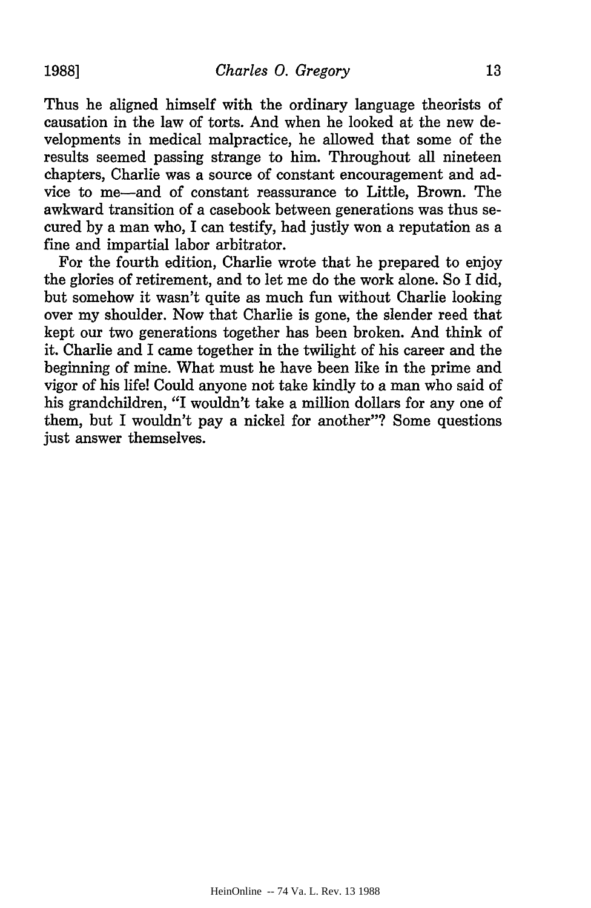Thus he aligned himself with the ordinary language theorists of causation in the law of torts. And when he looked at the new developments in medical malpractice, he allowed that some of the results seemed passing strange to him. Throughout all nineteen chapters, Charlie was a source of constant encouragement and advice to me-and of constant reassurance to Little, Brown. The awkward transition of a casebook between generations was thus secured by a man who, I can testify, had justly won a reputation as a fine and impartial labor arbitrator.

For the fourth edition, Charlie wrote that he prepared to enjoy the glories of retirement, and to let me do the work alone. So I did, but somehow it wasn't quite as much fun without Charlie looking over my shoulder. Now that Charlie is gone, the slender reed that kept our two generations together has been broken. And think of it. Charlie and I came together in the twilight of his career and the beginning of mine. What must he have been like in the prime and vigor of his life! Could anyone not take kindly to a man who said of his grandchildren, "I wouldn't take a million dollars for any one of them, but I wouldn't pay a nickel for another"? Some questions just answer themselves.